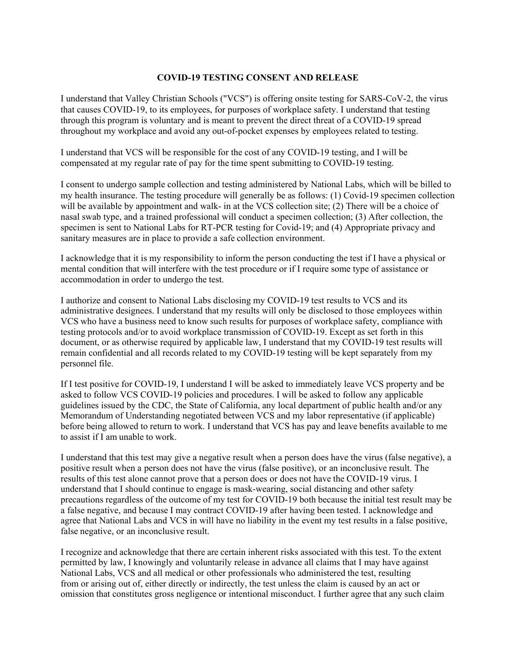## **COVID-19 TESTING CONSENT AND RELEASE**

I understand that Valley Christian Schools ("VCS") is offering onsite testing for SARS-CoV-2, the virus that causes COVID-19, to its employees, for purposes of workplace safety. I understand that testing through this program is voluntary and is meant to prevent the direct threat of a COVID-19 spread throughout my workplace and avoid any out-of-pocket expenses by employees related to testing.

I understand that VCS will be responsible for the cost of any COVID-19 testing, and I will be compensated at my regular rate of pay for the time spent submitting to COVID-19 testing.

I consent to undergo sample collection and testing administered by National Labs, which will be billed to my health insurance. The testing procedure will generally be as follows: (1) Covid-19 specimen collection will be available by appointment and walk- in at the VCS collection site; (2) There will be a choice of nasal swab type, and a trained professional will conduct a specimen collection; (3) After collection, the specimen is sent to National Labs for RT-PCR testing for Covid-19; and (4) Appropriate privacy and sanitary measures are in place to provide a safe collection environment.

I acknowledge that it is my responsibility to inform the person conducting the test if I have a physical or mental condition that will interfere with the test procedure or if I require some type of assistance or accommodation in order to undergo the test.

I authorize and consent to National Labs disclosing my COVID-19 test results to VCS and its administrative designees. I understand that my results will only be disclosed to those employees within VCS who have a business need to know such results for purposes of workplace safety, compliance with testing protocols and/or to avoid workplace transmission of COVID-19. Except as set forth in this document, or as otherwise required by applicable law, I understand that my COVID-19 test results will remain confidential and all records related to my COVID-19 testing will be kept separately from my personnel file.

If I test positive for COVID-19, I understand I will be asked to immediately leave VCS property and be asked to follow VCS COVID-19 policies and procedures. I will be asked to follow any applicable guidelines issued by the CDC, the State of California, any local department of public health and/or any Memorandum of Understanding negotiated between VCS and my labor representative (if applicable) before being allowed to return to work. I understand that VCS has pay and leave benefits available to me to assist if I am unable to work.

I understand that this test may give a negative result when a person does have the virus (false negative), a positive result when a person does not have the virus (false positive), or an inconclusive result. The results of this test alone cannot prove that a person does or does not have the COVID-19 virus. I understand that I should continue to engage is mask-wearing, social distancing and other safety precautions regardless of the outcome of my test for COVID-19 both because the initial test result may be a false negative, and because I may contract COVID-19 after having been tested. I acknowledge and agree that National Labs and VCS in will have no liability in the event my test results in a false positive, false negative, or an inconclusive result.

I recognize and acknowledge that there are certain inherent risks associated with this test. To the extent permitted by law, I knowingly and voluntarily release in advance all claims that I may have against National Labs, VCS and all medical or other professionals who administered the test, resulting from or arising out of, either directly or indirectly, the test unless the claim is caused by an act or omission that constitutes gross negligence or intentional misconduct. I further agree that any such claim